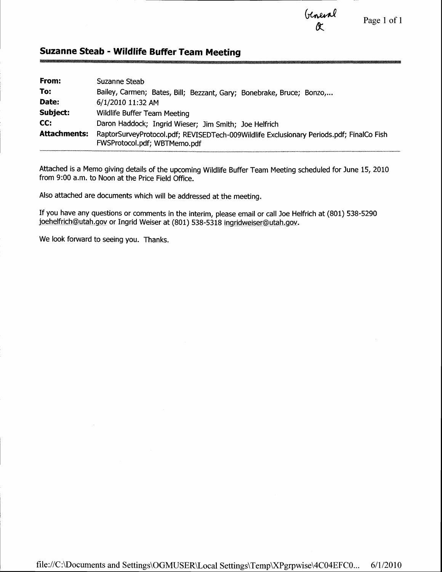Uneirel<br>Ot

Page 1 of 1

### Suzanne Steab - Wildlife Buffer Team Meeting

| From:               | Suzanne Steab                                                                                                            |
|---------------------|--------------------------------------------------------------------------------------------------------------------------|
| To:                 | Bailey, Carmen; Bates, Bill; Bezzant, Gary; Bonebrake, Bruce; Bonzo,                                                     |
| Date:               | 6/1/2010 11:32 AM                                                                                                        |
| Subject:            | Wildlife Buffer Team Meeting                                                                                             |
| CC:                 | Daron Haddock; Ingrid Wieser; Jim Smith; Joe Helfrich                                                                    |
| <b>Attachments:</b> | RaptorSurveyProtocol.pdf; REVISEDTech-009Wildlife Exclusionary Periods.pdf; FinalCo Fish<br>FWSProtocol.pdf; WBTMemo.pdf |

Attached is a Memo giving details of the upcoming Wildlife Buffer Team Meeting scheduled for June 15, 2010 from 9:00 a.m. to Noon at the Price Field Office.

Also attached are documents which will be addressed at the meeting.

If you have any questions or comments in the interim, please email or call Joe Helfrich at (801) 538-5290 joehelfrich@utah. gov or Ingrid Weiser at (801) 538-5318 ingridweiser@utah. gov.

We look forward to seeing you. Thanks.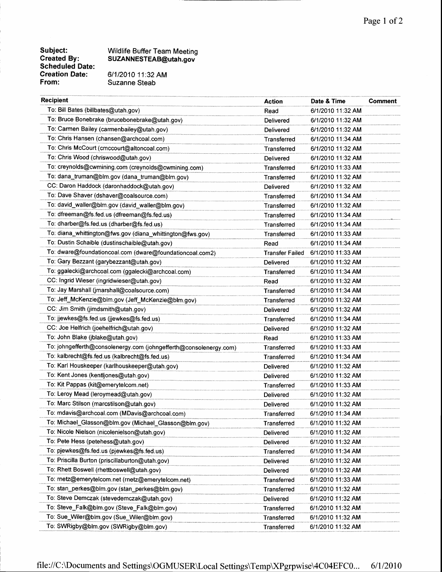#### Wildlife Buffer Team Meeting SUZANNESTEAB@utah.gov

61112010 11:32AM Suzanne Steab

| <b>Recipient</b>                                                  | <b>Action</b>      | Date & Time       | <b>Comment</b> |
|-------------------------------------------------------------------|--------------------|-------------------|----------------|
| To: Bill Bates (billbates@utah.gov)                               | Read               | 6/1/2010 11:32 AM |                |
| To: Bruce Bonebrake (brucebonebrake@utah.gov)                     | Delivered          | 6/1/2010 11:32 AM |                |
| To: Carmen Bailey (carmenbailey@utah.gov)                         | Delivered          | 6/1/2010 11:32 AM |                |
| To: Chris Hansen (chansen@archcoal.com)                           | Transferred        | 6/1/2010 11:34 AM |                |
| To: Chris McCourt (cmccourt@altoncoal.com)                        | <b>Transferred</b> | 6/1/2010 11:32 AM |                |
| To: Chris Wood (chriswood@utah.gov)                               | Delivered          | 6/1/2010 11:32 AM |                |
| To: creynolds@cwmining.com (creynolds@cwmining.com)               | Transferred        | 6/1/2010 11:33 AM |                |
| To: dana_truman@blm.gov (dana_truman@blm.gov)                     | <b>Transferred</b> | 6/1/2010 11:32 AM |                |
| CC: Daron Haddock (daronhaddock@utah.gov)                         | Delivered          | 6/1/2010 11:32 AM |                |
| To: Dave Shaver (dshaver@coalsource.com)                          | Transferred        | 6/1/2010 11:34 AM |                |
| To: david_waller@blm.gov (david_waller@blm.gov)                   | Transferred        | 6/1/2010 11:32 AM |                |
| To: dfreeman@fs.fed.us (dfreeman@fs.fed.us)                       | Transferred        | 6/1/2010 11:34 AM |                |
| To: dharber@fs.fed.us (dharber@fs.fed.us)                         | Transferred        | 6/1/2010 11:34 AM |                |
| To: diana_whittington@fws.gov (diana_whittington@fws.gov)         | Transferred        | 6/1/2010 11:33 AM |                |
| To: Dustin Schaible (dustinschaible@utah.gov)                     | Read               | 6/1/2010 11:34 AM |                |
| To: dware@foundationcoal.com (dware@foundationcoal.com2)          | Transfer Failed    | 6/1/2010 11:33 AM |                |
| To: Gary Bezzant (garybezzant@utah.gov)                           | Delivered          | 6/1/2010 11:32 AM |                |
| To: ggalecki@archcoal.com (ggalecki@archcoal.com)                 | Transferred        | 6/1/2010 11:34 AM |                |
| CC: Ingrid Wieser (ingridwieser@utah.gov)                         | Read               | 6/1/2010 11:32 AM |                |
| To: Jay Marshall (jmarshall@coalsource.com)                       | Transferred        | 6/1/2010 11:34 AM |                |
| To: Jeff_McKenzie@blm.gov (Jeff_McKenzie@blm.gov)                 | Transferred        | 6/1/2010 11:32 AM |                |
| CC: Jim Smith (jimdsmith@utah.gov)                                | Delivered          | 6/1/2010 11:32 AM |                |
| To: jjewkes@fs.fed.us (jjewkes@fs.fed.us)                         | Transferred        | 6/1/2010 11:34 AM |                |
| CC: Joe Helfrich (joehelfrich@utah.gov)                           | Delivered          | 6/1/2010 11:32 AM |                |
| To: John Blake (jblake@utah.gov)                                  | Read               | 6/1/2010 11:33 AM |                |
| To: johngefferth@consolenergy.com (johngefferth@consolenergy.com) | Transferred        | 6/1/2010 11:33 AM |                |
| To: kalbrecht@fs.fed.us (kalbrecht@fs.fed.us)                     | Transferred        | 6/1/2010 11:34 AM |                |
| To: Karl Houskeeper (karlhouskeeper@utah.gov)                     | Delivered          | 6/1/2010 11:32 AM |                |
| To: Kent Jones (kentljones@utah.gov)                              | Delivered          | 6/1/2010 11:32 AM |                |
| To: Kit Pappas (kit@emerytelcom.net)                              | Transferred        | 6/1/2010 11:33 AM |                |
| To: Leroy Mead (leroymead@utah.gov)                               | Delivered          | 6/1/2010 11:32 AM |                |
| To: Marc Stilson (marcstilson@utah.gov)                           | Delivered          | 6/1/2010 11:32 AM |                |
| To: mdavis@archcoal.com (MDavis@archcoal.com)                     | Transferred        | 6/1/2010 11:34 AM |                |
| To: Michael_Glasson@blm.gov (Michael_Glasson@blm.gov)             | Transferred        | 6/1/2010 11:32 AM |                |
| To: Nicole Nielson (nicolenielson@utah.gov)                       | Delivered          | 6/1/2010 11:32 AM |                |
| To: Pete Hess (petehess@utah.gov)                                 | Delivered          | 6/1/2010 11:32 AM |                |
| To: pjewkes@fs.fed.us (pjewkes@fs.fed.us)                         | Transferred        | 6/1/2010 11:34 AM |                |
| To: Priscilla Burton (priscillaburton@utah.gov)                   | Delivered          | 6/1/2010 11:32 AM |                |
| To: Rhett Boswell (rhettboswell@utah.gov)                         | Delivered          | 6/1/2010 11:32 AM |                |
| To: rnetz@emerytelcom.net (rnetz@emerytelcom.net)                 | Transferred        | 6/1/2010 11:33 AM |                |
| To: stan_perkes@blm.gov (stan_perkes@blm.gov)                     | Transferred        | 6/1/2010 11:32 AM |                |
| To: Steve Demczak (stevedemczak@utah.gov)                         | Delivered          | 6/1/2010 11:32 AM |                |
| To: Steve_Falk@blm.gov (Steve_Falk@blm.gov)                       | Transferred        | 6/1/2010 11:32 AM |                |
| To: Sue_Wiler@blm.gov (Sue_Wiler@blm.gov)                         | Transferred        | 6/1/2010 11:32 AM |                |
| To: SWRigby@blm.gov (SWRigby@blm.gov)                             | Transferred        | 6/1/2010 11:32 AM |                |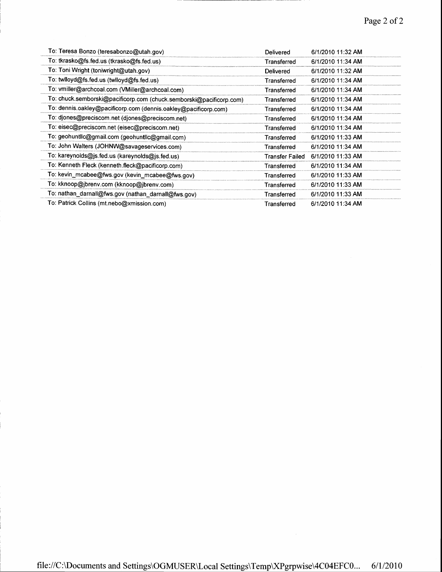| To: Teresa Bonzo (teresabonzo@utah.gov)                             | Delivered              | 6/1/2010 11:32 AM |
|---------------------------------------------------------------------|------------------------|-------------------|
| To: tkrasko@fs.fed.us (tkrasko@fs.fed.us)                           | Transferred            | 6/1/2010 11:34 AM |
| To: Toni Wright (toniwright@utah.gov)                               | Delivered              | 6/1/2010 11:32 AM |
| To: twlloyd@fs.fed.us (twlloyd@fs.fed.us)                           | Transferred            | 6/1/2010 11:34 AM |
| To: vmiller@archcoal.com (VMiller@archcoal.com)                     | Transferred            | 6/1/2010 11:34 AM |
| To: chuck.semborski@pacificorp.com (chuck.semborski@pacificorp.com) | Transferred            | 6/1/2010 11:34 AM |
| To: dennis.oakley@pacificorp.com (dennis.oakley@pacificorp.com)     | Transferred            | 6/1/2010 11:34 AM |
| To: djones@preciscom.net (djones@preciscom.net)                     | Transferred            | 6/1/2010 11:34 AM |
| To: eisec@preciscom.net (eisec@preciscom.net)                       | Transferred            | 6/1/2010 11:34 AM |
| To: geohuntlic@gmail.com (geohuntlic@gmail.com)                     | Transferred            | 6/1/2010 11:33 AM |
| To: John Walters (JOHNW@savageservices.com)                         | Transferred            | 6/1/2010 11:34 AM |
| To: kareynolds@js.fed.us (kareynolds@js.fed.us)                     | <b>Transfer Failed</b> | 6/1/2010 11:33 AM |
| To: Kenneth Fleck (kenneth.fleck@pacificorp.com)                    | Transferred            | 6/1/2010 11:34 AM |
| To: kevin_mcabee@fws.gov (kevin_mcabee@fws.gov)                     | Transferred            | 6/1/2010 11:33 AM |
| To: kknoop@jbrenv.com (kknoop@jbrenv.com)                           | Transferred            | 6/1/2010 11:33 AM |
| To: nathan_darnall@fws.gov (nathan_darnall@fws.gov)                 | <b>Transferred</b>     | 6/1/2010 11:33 AM |
| To: Patrick Collins (mt.nebo@xmission.com)                          | Transferred            | 6/1/2010 11:34 AM |

 $\sim$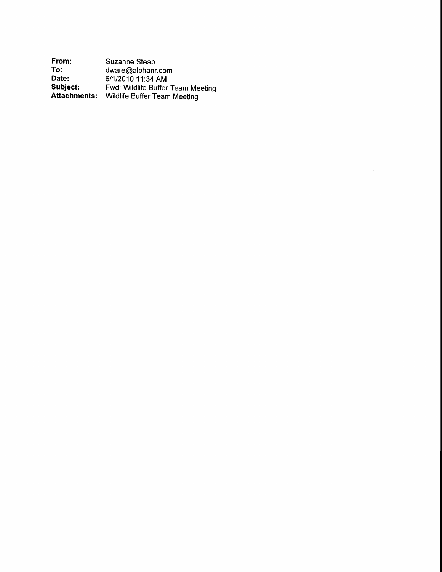From: To: Date:<br>Subject: Subject: Attachments: Suzanne Steab dware@alphanr.com 61112010 11:34 AM Fwd: Wildlife Buffer Team Meeting Wildlife Buffer Team Meeting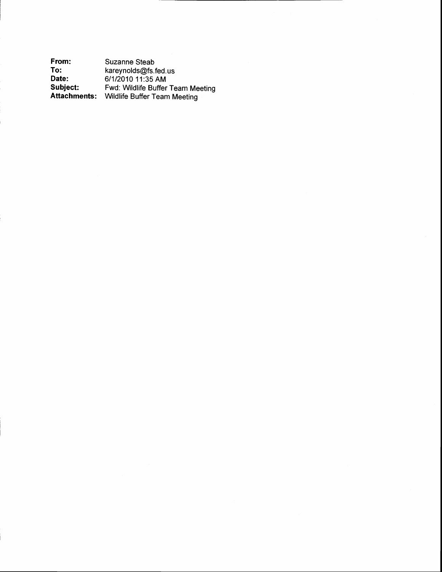From: To: Date: Subject: Attachments: Suzanne Steab kareynolds@fs.fed.us 61112010 11:35 AM Fwd: Wildlife Buffer Team Meeting Wildlife Buffer Team Meeting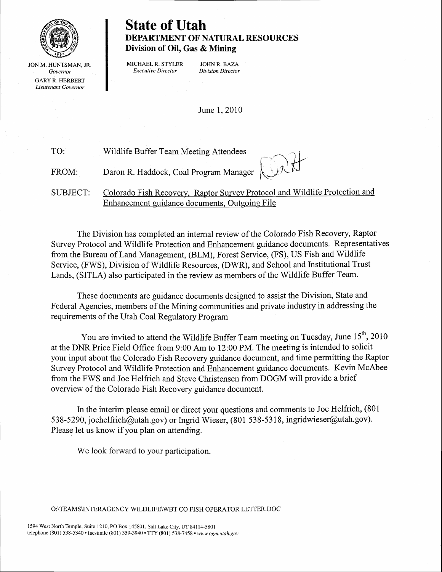

JON M. HUNTSMAN, JR. Governor GARY R. HERBERT Lieutenant Governor

### State of Utah DEPARTMENT OF NATURAL RESOURCES Division of Oil, Gas & Mining

MICHAEL R. STYLER JOHN R. BAZA<br> *Executive Director* Division Director Executive Director

June 1, 2010

Wildlife Buffer Team Meeting Attendees  $\sim$  -J i  $\bigcup_{i=1}^n A_i$ Daron R. Haddock, Coal Program Manager  $\mathcal{K}(\mathcal{N})$ Colorado Fish Recovery, Raptor Survey Protocol and Wildlife Protection and Enhancement quidance documents. Outgoinq File TO: FROM: SUBJECT:

The Division has completed an internal review of the Colorado Fish Recovery, Raptor Survey Protocol and Wildlife Protection and Enhancement guidance documents. Representatives from the Bureau of Land Management, (BLM), Forest Service, (FS), US Fish and Wildlife Service, (FWS), Division of Wildlife Resources, (DWR), and School and Institutional Trust Lands, (SITLA) also participated in the review as members of the Wildlife Buffer Team.

These documents are guidance documents designed to assist the Division, State and Federal Agencies, members of the Mining communities and private industry in addressing the requirements of the Utah Coal Regulatory Program

You are invited to attend the Wildlife Buffer Team meeting on Tuesday, June  $15<sup>th</sup>$ , 2010 at the DNR Price Field Office from 9:00 Am to 12:00 PM. The meeting is intended to solicit your input about the Colorado Fish Recovery guidance document, and time permitting the Raptor Survey Protocol and Wildlife Protection and Enhancement guidance documents. Kevin McAbee from the FWS and Joe Helfrich and Steve Christensen from DOGM will provide a brief overview of the Colorado Fish Recovery guidance document.

In the interim please email or direct your questions and comments to Joe Helfrich, (801 538-5290, joehelfrich@utah.gov) or Ingrid Wieser, (801 538-5318, ingridwieser@utah.gov). Please let us know if you plan on attending.

We look forward to your participation.

#### O:\TEAMSVNTERAGENCY WILDLIFE\WBT CO FISH OPERATOR LETTER.DOC

1594 West North Temple, Suite 1210, PO Box 145801, Salt Lake City, UT 84114-5801 telephone (801) 538-5340 · facsimile (801) 359-3940 · TTY (801) 538-7458 · www.ogm.utah.gov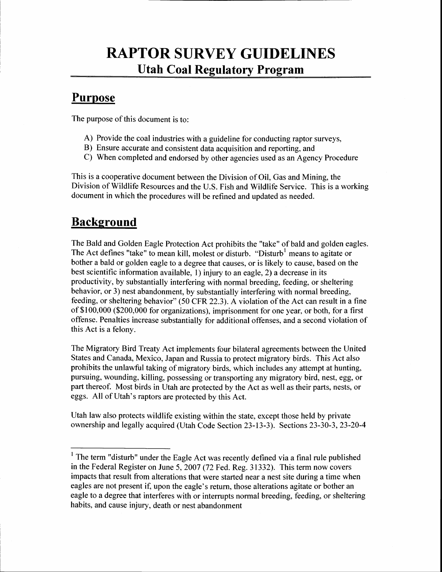# RAPTOR SURVEY GUIDELINES Utah Coal Regulatory Program

### **Purpose**

The purpose of this document is to:

- A) Provide the coal industries with a guideline for conducting raptor surveys,
- B) Ensure accurate and consistent data acquisition and reporting, and
- C) When completed and endorsed by other agencies used as an Agency Procedure

This is a cooperative document between the Division of Oil, Gas and Mining, the Division of Wildlife Resources and the U.S. Fish and Wildlife Service. This is a working document in which the procedures will be refined and updated as needed.

## **Background**

The Bald and Golden Eagle Protection Act prohibits the "take" of bald and golden eagles. The Act defines "take" to mean kill, molest or disturb. "Disturb<sup>1</sup> means to agitate or bother a bald or golden eagle to a degree that causes, or is likely to cause, based on the best scientific information available, l) injury to an eagle, 2) a decrease in its productivity, by substantially interfering with normal breeding, feeding, or sheltering behavior, or 3) nest abandonment, by substantially interfering with normal breeding, feeding, or sheltering behavior" (50 CFR 22.3). A violation of the Act can result in a fine of \$100,000 (\$200,000 for organizations), imprisonment for one year, or both, for a first offense. Penalties increase substantially for additional offenses, and a second violation of this Act is a felony.

The Migratory Bird Treaty Act implements four bilateral agreements befween the United States and Canada, Mexico, Japan and Russia to protect migratory birds. This Act also prohibits the unlawful taking of migratory birds, which includes any attempt at hunting, pursuing, wounding, killing, possessing or transporting any migratory bird, nest, egg, or part thereof. Most birds in Utah are protected by the Act as well as their parts, nests, or eggs. All of Utah's raptors are protected by this Act.

Utah law also protects wildlife existing within the state, except those held by private ownership and legally acquired (Utah Code Section 23-13-3). Sections 23-30-3,23-20-4

 $1$  The term "disturb" under the Eagle Act was recently defined via a final rule published in the Federal Register on June 5, 2007 (72 Fed. Reg. 31332). This term now covers impacts that result from alterations that were started near a nest site during a time when eagles are not present if, upon the eagle's return, those alterations agitate or bother an eagle to a degree that interferes with or interrupts normal breeding, feeding, or sheltering habits, and cause injury, death or nest abandonment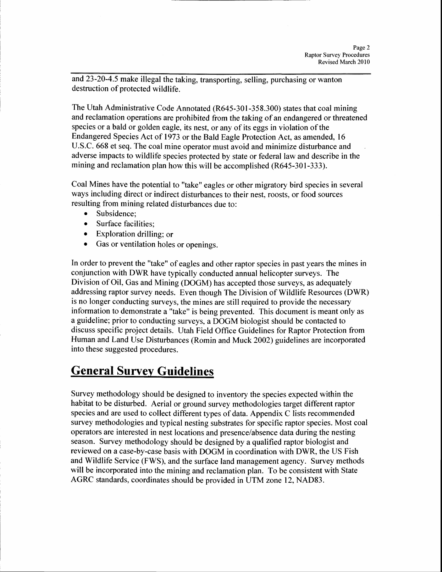and 23-20-4.5 make illegal the taking, transporting, selling, purchasing or wanton destruction of protected wildlife.

The Utah Administrative Code Annotated (R645-301-358.300) states that coal mining and reclamation operations are prohibited from the taking of an endangered or threatened species or a bald or golden eagle, its nest, or any of its eggs in violation of the Endangered Species Act of 1973 or the Bald Eagle Protection Act, as amended, 16 U.S.C. 668 et seq. The coal mine operator must avoid and minimize disturbance and adverse impacts to wildlife species protected by state or federal law and describe in the mining and reclamation plan how this will be accomplished (R645-301-333).

Coal Mines have the potential to "take" eagles or other migratory bird species in several ways including direct or indirect disturbances to their nest, roosts, or food sources resulting from mining related disturbances due to:

- . Subsidence;
- . Surface facilities;
- . Exploration drilling; or
- . Gas or ventilation holes or openings.

In order to prevent the "take" of eagles and other raptor species in past years the mines in conjunction with DWR have typically conducted annual helicopter surveys. The Division of Oil, Gas and Mining (DOGM) has accepted those surveys, as adequately addressing raptor survey needs. Even though The Division of Wildlife Resources (DWR) is no longer conducting surveys, the mines are still required to provide the necessary information to demonstrate a"take" is being prevented. This document is meant only as a guideline; prior to conducting surveys:, aDOGM biologist should be contacted to discuss specific project details. Utah Field Office Guidelines for Raptor Protection from Human and Land Use Disturbances (Romin and Muck 2002) guidelines are incorporated into these suggested procedures.

## **General Survey Guidelines**

Survey methodology should be designed to inventory the species expected within the habitat to be disturbed. Aerial or ground survey methodologies target different raptor species and are used to collect different types of data. Appendix C lists recommended survey methodologies and typical nesting substrates for specific raptor species. Most coal operators are interested in nest locations and presence/absence data during the nesting season. Survey methodology should be designed by a qualified raptor biologist and reviewed on a case-by-case basis with DOGM in coordination with DWR, the US Fish and Wildlife Service (FWS), and the surface land management agency. Survey methods will be incorporated into the mining and reclamation plan. To be consistent with State AGRC standards, coordinates should be provided in UTM zone 12, NAD83.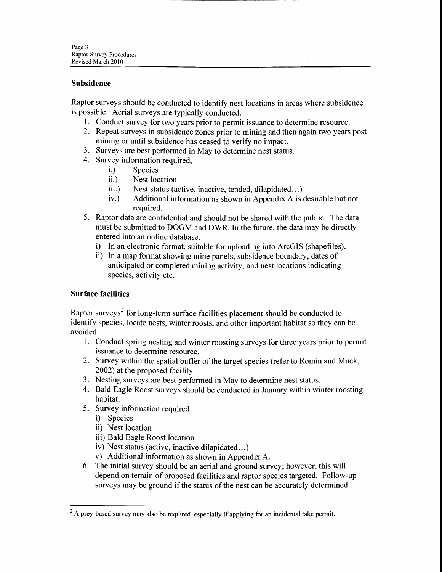#### Subsidence

Raptor surveys should be conducted to identify nest locations in areas where subsidence is possible. Aerial surveys are typically conducted.

- 1. Conduct survey for two years prior to permit issuance to determine resource.
- 2. Repeat surveys in subsidence zones prior to mining and then again two years post mining or until subsidence has ceased to verify no impact.
- Surveys are best performed in May to determine nest status. 3.
- 4. Survey information required,
	- i.) Species
	- ii.) Nest location
	- iii.) Nest status (active, inactive, tended, dilapidated...)
	- $iv.)$  Additional information as shown in Appendix A is desirable but not required.
- 5. Raptor data are confidential and should not be shared with the public. The data must be submitted to DOGM and DWR. In the future, the data may be directly entered into an online database.
	- i) In an electronic format, suitable for uploading into ArcGIS (shapefiles).
	- ii) In a map format showing mine panels, subsidence boundary, dates of anticipated or completed mining activity, and nest locations indicating species, activity etc.

#### Surface facilities

Raptor surveys<sup>2</sup> for long-term surface facilities placement should be conducted to identify species, locate nests, winter roosts, and other important habitat so they can be avoided.

- l. Conduct spring nesting and winter roosting surveys for three years prior to permit issuance to determine resource.
- 2. Survey within the spatial buffer of the target species (referto Romin and Muck, 2002) at the proposed facility.
- 3. Nesting surveys are best performed in May to determine nest status.
- 4. Bald Eagle Roost surveys should be conducted in January within winter roosting habitat.
- 5. Survey information required
	- i) Species
	- ii) Nest location
	- iii) Bald Eagle Roost location
	- iv) Nest status (active, inactive dilapidated...)
	- v) Additional information as shown in Appendix A.
- 6. The initial survey should be an aerial and ground survey; however, this will depend on terrain of proposed facilities and raptor species targeted. Follow-up surveys may be ground if the status of the nest can be accurately determined.

 $2A$  prey-based survey may also be required, especially if applying for an incidental take permit.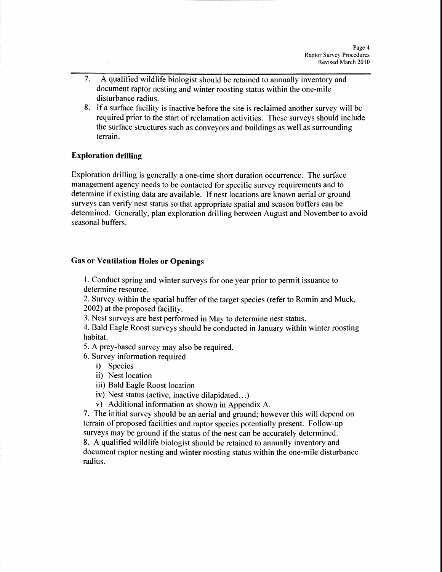- 7. A qualified wildlife biologist should be retained to annually inventory and document raptor nesting and winter roosting status within the one-mile disturbance radius.
- 8. If a surface facility is inactive before the site is reclaimed another survey will be required prior to the start of reclamation activities. These surveys should include the surface structures such as conveyors and buildings as well as surrounding terrain.

#### Exploration drilling

Exploration drilling is generally a one-time short duration occurrence. The surface management agency needs to be contacted for specific survey requirements and to determine if existing data are available. If nest locations are known aerial or ground surveys can verify nest status so that appropriate spatial and season buffers can be determined. Generally, plan exploration drilling between August and November to avoid seasonal buffers.

#### Gas or Ventilation Holes or Openings

l. Conduct spring and winter surveys for one year prior to permit issuance to determine resource.

2. Survey within the spatial buffer of the target species (referto Romin and Muck, 2002) at the proposed facility.

3. Nest surveys are best performed in May to determine nest status.

4. Bald Eagle Roost surveys should be conducted in January within winter roosting habitat.

5. A prey-based survey may also be required.

6. Survey information required

- i) Species
- ii) Nest location
- iii) Bald Eagle Roost location
- iv) Nest status (active, inactive dilapidated...)
- v) Additional information as shown in Appendix A.

7. The initial survey should be an aerial and ground; however this will depend on terrain of proposed facilities and raptor species potentially present. Follow-up surveys may be ground if the status of the nest can be accurately determined.

8. A qualified wildlife biologist should be retained to annually inventory and document raptor nesting and winter roosting status within the one-mile disturbance radius.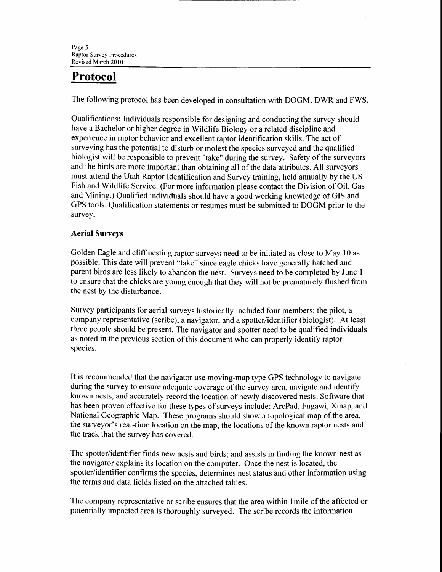## Protocol

The following protocol has been developed in consultation with DOGM, DWR and FWS.

Qualifications: Individuals responsible for designing and conducting the survey should have a Bachelor or higher degree in Wildlife Biology or a related discipline and experience in raptor behavior and excellent raptor identification skills. The act of surveying has the potential to disturb or molest the species surveyed and the qualified biologist will be responsible to prevent "take" during the survey. Safety of the surveyors and the birds are more important than obtaining all of the data attributes. All surveyors must attend the Utah Raptor Identification and Survey training, held annually by the US Fish and Wildlife Service. (For more information please contact the Division of Oil, Gas and Mining.) Qualified individuals should have a good working knowledge of GIS and GPS tools. Qualification statements or resumes must be submitted to DOGM prior to the survey.

#### Aerial Surveys

Golden Eagle and cliff nesting raptor surveys need to be initiated as close to May 10 as possible. This date will prevent "take" since eagle chicks have generally hatched and parent birds are less likely to abandon the nest. Surveys need to be completed by June I to ensure that the chicks are young enough that they will not be prematurely flushed from the nest by the disturbance.

Survey participants for aerial surveys historically included four members: the pilot, a company representative (scribe), a navigator, and a spotter/identifier (biologist). At least three people should be present. The navigator and spotter need to be qualified individuals as noted in the previous section of this document who can properly identify raptor species.

It is recommended that the navigator use moving-map type GPS technology to navigate during the survey to ensure adequate coverage of the survey area, navigate and identify known nests, and accurately record the location of newly discovered nests. Software that has been proven effective for these types of surveys include: ArcPad, Fugawi, Xmap, and National Geographic Map. These programs should show a topological map of the area, the surveyor's real-time location on the map, the locations of the known raptor nests and the track that the survey has covered.

The spotter/identifier finds new nests and birds; and assists in finding the known nest as the navigator explains its location on the computer. Once the nest is located, the spotter/identifier confirms the species, determines nest status and other information using the terms and data fields listed on the attached tables.

The company representative or scribe ensures that the area within lmile of the affected or potentially impacted area is thoroughly surveyed. The scribe records the information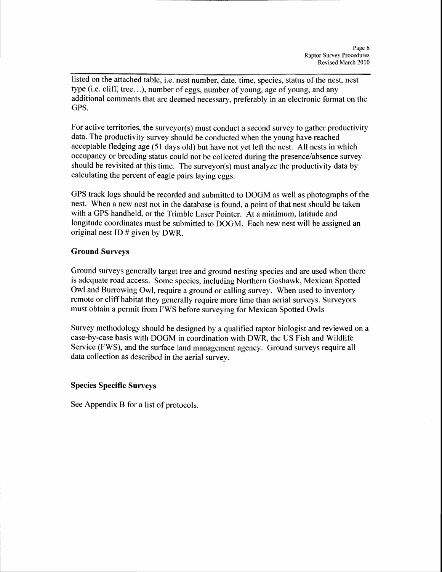listed on the attached table, i.e. nest number, date, time, species, status of the nest, nest type (i.e. cliff, tree...), number of eggs, number of young, age of young, and any additional comments that are deemed necessary, preferably in an electronic format on the GPS.

For active territories, the surveyor(s) must conduct a second survey to gather productivity data. The productivity survey should be conducted when the young have reached acceptable fledging age (51 days old) but have not yet left the nest. All nests in which occupancy or breeding status could not be collected during the presence/absence survey should be revisited at this time. The surveyor(s) must analyze the productivity databy calculating the percent of eagle pairs laying eggs.

GPS track logs should be recorded and submitted to DOGM as well as photographs of the nest. When a new nest not in the database is found, a point of that nest should be taken with a GPS handheld, or the Trimble Laser Pointer. At a minimum, latitude and longitude coordinates must be submitted to DOGM. Each new nest will be assigned an original nest ID # given by DWR.

#### Ground Surveys

Ground surveys generally target tree and ground nesting species and are used when there is adequate road access. Some species, including Northern Goshawk, Mexican Spotted Owl and Burrowing Owl, require a ground or calling survey. When used to inventory remote or cliff habitat they generally require more time than aerial surveys. Surveyors must obtain a permit from FWS before surveying for Mexican Spotted Owls

Survey methodology should be designed by a qualified raptor biologist and reviewed on a case-by-case basis with DOGM in coordination with DWR, the US Fish and Wildlife Service (FWS), and the surface land management agency. Ground surveys require all data collection as described in the aerial survey.

#### Species Specific Surveys

See Appendix B for a list of protocols.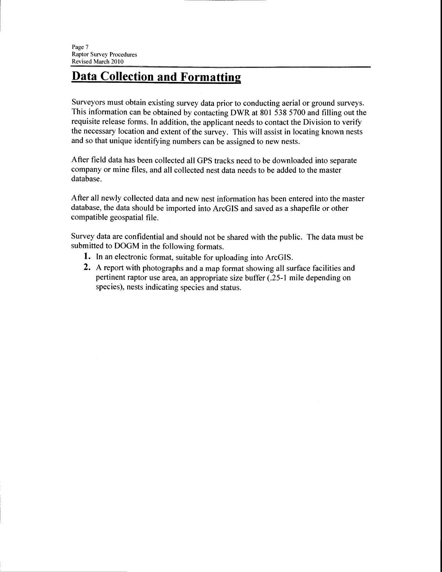## **Data Collection and Formatting**

Surveyors must obtain existing survey data prior to conducting aerial or ground surveys. This information can be obtained by contacting DWR at 801 538 5700 and filling out the requisite release forms. In addition, the applicant needs to contact the Division to verify the necessary location and extent of the survey. This will assist in locating known nests and so that unique identifying numbers can be assigned to new nests.

After field data has been collected all GPS tracks need to be downloaded into separate company or mine files, and all collected nest data needs to be added to the master database.

After all newly collected data and new nest information has been entered into the master database, the data should be imported into ArcGIS and saved as a shapefile or other compatible geospatial file.

Survey data are confidential and should not be shared with the public. The data must be submitted to DOGM in the following formats.

- 1. In an electronic format, suitable for uploading into ArcGIS.
- 2. A report with photographs and a map format showing all surface facilities and pertinent raptor use area, an appropriate size buffer (.25-l mile depending on species), nests indicating species and status.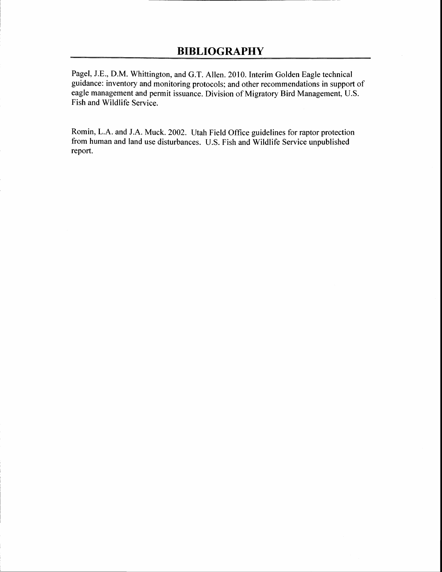Pagel, J.E., D.M. Whittington, and G.T. Allen. 2010. Interim Golden Eagle technical guidance: inventory and monitoring protocols; and other recommendations in support of eagle management and permit issuance. Division of Migratory Bird Management, U.S. Fish and Wildlife Service.

Romin, L.A. and J.A. Muck. 2002. Utah Field Office guidelines for raptor protection from human and land use disturbances. U.S. Fish and Wildlife Service unpublished report.